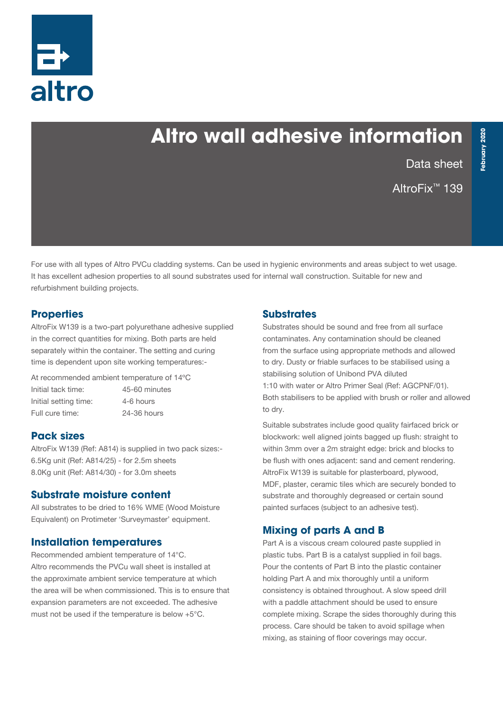

# **Altro wall adhesive information**

Data sheet

AltroFix™ 139

**February 2020**

ebruary 2020

For use with all types of Altro PVCu cladding systems. Can be used in hygienic environments and areas subject to wet usage. It has excellent adhesion properties to all sound substrates used for internal wall construction. Suitable for new and refurbishment building projects.

## **Properties**

AltroFix W139 is a two-part polyurethane adhesive supplied in the correct quantities for mixing. Both parts are held separately within the container. The setting and curing time is dependent upon site working temperatures:-

At recommended ambient temperature of 14ºC Initial tack time: 45-60 minutes Initial setting time: 4-6 hours Full cure time: 24-36 hours

# **Pack sizes**

AltroFix W139 (Ref: A814) is supplied in two pack sizes:- 6.5Kg unit (Ref: A814/25) - for 2.5m sheets 8.0Kg unit (Ref: A814/30) - for 3.0m sheets

### **Substrate moisture content**

All substrates to be dried to 16% WME (Wood Moisture Equivalent) on Protimeter 'Surveymaster' equipment.

# **Installation temperatures**

Recommended ambient temperature of 14°C. Altro recommends the PVCu wall sheet is installed at the approximate ambient service temperature at which the area will be when commissioned. This is to ensure that expansion parameters are not exceeded. The adhesive must not be used if the temperature is below +5°C.

### **Substrates**

Substrates should be sound and free from all surface contaminates. Any contamination should be cleaned from the surface using appropriate methods and allowed to dry. Dusty or friable surfaces to be stabilised using a stabilising solution of Unibond PVA diluted 1:10 with water or Altro Primer Seal (Ref: AGCPNF/01). Both stabilisers to be applied with brush or roller and allowed to dry.

Suitable substrates include good quality fairfaced brick or blockwork: well aligned joints bagged up flush: straight to within 3mm over a 2m straight edge: brick and blocks to be flush with ones adjacent: sand and cement rendering. AltroFix W139 is suitable for plasterboard, plywood, MDF, plaster, ceramic tiles which are securely bonded to substrate and thoroughly degreased or certain sound painted surfaces (subject to an adhesive test).

### **Mixing of parts A and B**

Part A is a viscous cream coloured paste supplied in plastic tubs. Part B is a catalyst supplied in foil bags. Pour the contents of Part B into the plastic container holding Part A and mix thoroughly until a uniform consistency is obtained throughout. A slow speed drill with a paddle attachment should be used to ensure complete mixing. Scrape the sides thoroughly during this process. Care should be taken to avoid spillage when mixing, as staining of floor coverings may occur.